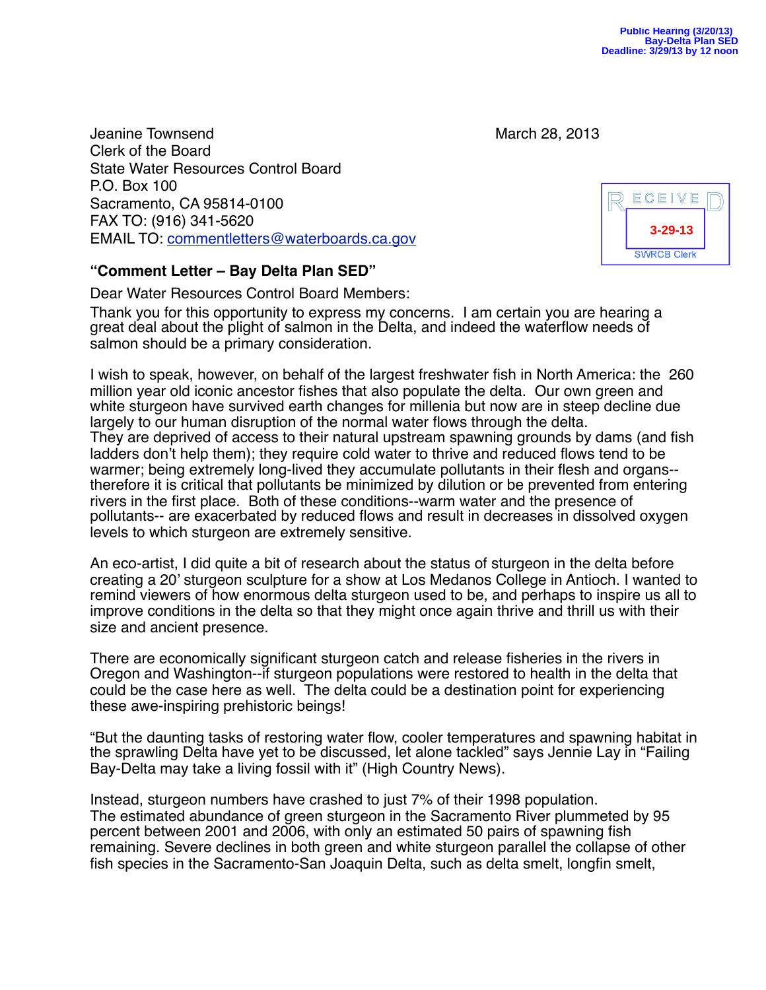Jeanine Townsend **1996** and 1997 and 1997 and 1998 and 1997 and 1998 and 1998 and 1998 and 1998 and 1998 and 19 Clerk of the Board State Water Resources Control Board P.O. Box 100 Sacramento, CA 95814-0100 FAX TO: (916) 341-5620 EMAIL TO: [commentletters@waterboards.ca.gov](mailto:commentletters@waterboards.ca.gov)

## **"Comment Letter – Bay Delta Plan SED"**

Dear Water Resources Control Board Members:

Thank you for this opportunity to express my concerns. I am certain you are hearing a great deal about the plight of salmon in the Delta, and indeed the waterflow needs of salmon should be a primary consideration.

I wish to speak, however, on behalf of the largest freshwater fish in North America: the 260 million year old iconic ancestor fishes that also populate the delta. Our own green and white sturgeon have survived earth changes for millenia but now are in steep decline due largely to our human disruption of the normal water flows through the delta. They are deprived of access to their natural upstream spawning grounds by dams (and fish ladders don't help them); they require cold water to thrive and reduced flows tend to be warmer; being extremely long-lived they accumulate pollutants in their flesh and organs- therefore it is critical that pollutants be minimized by dilution or be prevented from entering rivers in the first place. Both of these conditions--warm water and the presence of pollutants-- are exacerbated by reduced flows and result in decreases in dissolved oxygen levels to which sturgeon are extremely sensitive.

An eco-artist, I did quite a bit of research about the status of sturgeon in the delta before creating a 20' sturgeon sculpture for a show at Los Medanos College in Antioch. I wanted to remind viewers of how enormous delta sturgeon used to be, and perhaps to inspire us all to improve conditions in the delta so that they might once again thrive and thrill us with their size and ancient presence.

There are economically significant sturgeon catch and release fisheries in the rivers in Oregon and Washington--if sturgeon populations were restored to health in the delta that could be the case here as well. The delta could be a destination point for experiencing these awe-inspiring prehistoric beings!

"But the daunting tasks of restoring water flow, cooler temperatures and spawning habitat in the sprawling Delta have yet to be discussed, let alone tackled" says Jennie Lay in "Failing Bay-Delta may take a living fossil with it" (High Country News).

Instead, sturgeon numbers have crashed to just 7% of their 1998 population. The estimated abundance of green sturgeon in the Sacramento River plummeted by 95 percent between 2001 and 2006, with only an estimated 50 pairs of spawning fish remaining. Severe declines in both green and white sturgeon parallel the collapse of other fish species in the Sacramento-San Joaquin Delta, such as delta smelt, longfin smelt,

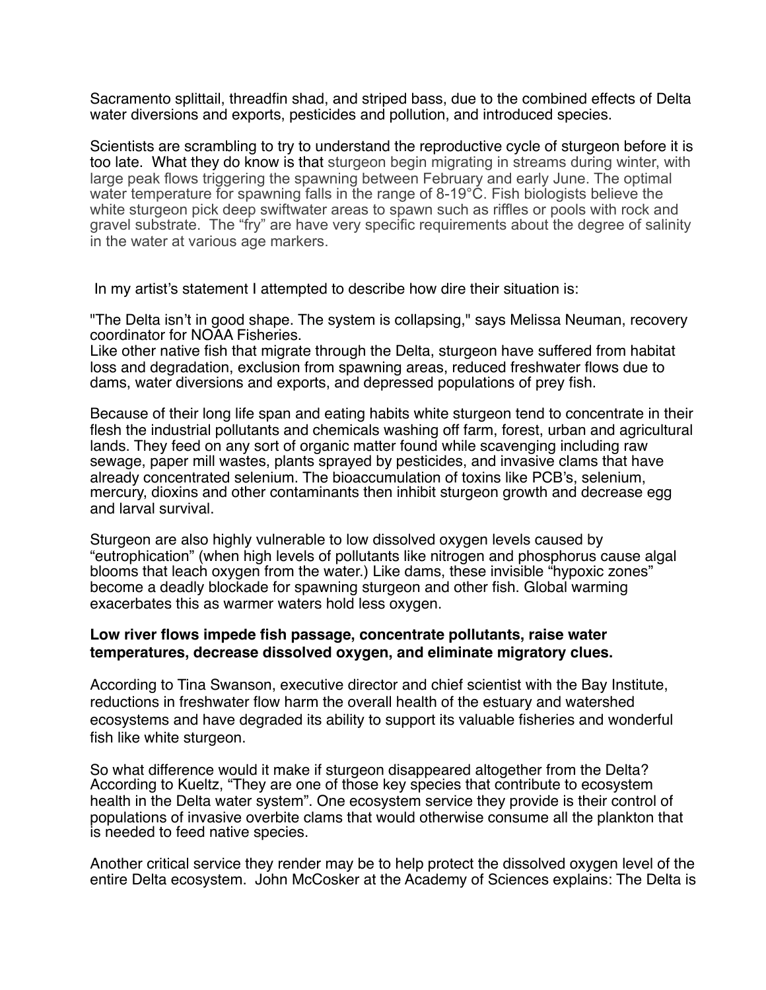Sacramento splittail, threadfin shad, and striped bass, due to the combined effects of Delta water diversions and exports, pesticides and pollution, and introduced species.

Scientists are scrambling to try to understand the reproductive cycle of sturgeon before it is too late. What they do know is that sturgeon begin migrating in streams during winter, with large peak flows triggering the spawning between February and early June. The optimal water temperature for spawning falls in the range of 8-19°C. Fish biologists believe the white sturgeon pick deep swiftwater areas to spawn such as riffles or pools with rock and gravel substrate. The "fry" are have very specific requirements about the degree of salinity in the water at various age markers.

In my artist's statement I attempted to describe how dire their situation is:

"The Delta isn't in good shape. The system is collapsing," says Melissa Neuman, recovery coordinator for NOAA Fisheries.

Like other native fish that migrate through the Delta, sturgeon have suffered from habitat loss and degradation, exclusion from spawning areas, reduced freshwater flows due to dams, water diversions and exports, and depressed populations of prey fish.

Because of their long life span and eating habits white sturgeon tend to concentrate in their flesh the industrial pollutants and chemicals washing off farm, forest, urban and agricultural lands. They feed on any sort of organic matter found while scavenging including raw sewage, paper mill wastes, plants sprayed by pesticides, and invasive clams that have already concentrated selenium. The bioaccumulation of toxins like PCB's, selenium, mercury, dioxins and other contaminants then inhibit sturgeon growth and decrease egg and larval survival.

Sturgeon are also highly vulnerable to low dissolved oxygen levels caused by "eutrophication" (when high levels of pollutants like nitrogen and phosphorus cause algal blooms that leach oxygen from the water.) Like dams, these invisible "hypoxic zones" become a deadly blockade for spawning sturgeon and other fish. Global warming exacerbates this as warmer waters hold less oxygen.

## **Low river flows impede fish passage, concentrate pollutants, raise water temperatures, decrease dissolved oxygen, and eliminate migratory clues.**

According to Tina Swanson, executive director and chief scientist with the Bay Institute, reductions in freshwater flow harm the overall health of the estuary and watershed ecosystems and have degraded its ability to support its valuable fisheries and wonderful fish like white sturgeon.

So what difference would it make if sturgeon disappeared altogether from the Delta? According to Kueltz, "They are one of those key species that contribute to ecosystem health in the Delta water system". One ecosystem service they provide is their control of populations of invasive overbite clams that would otherwise consume all the plankton that is needed to feed native species.

Another critical service they render may be to help protect the dissolved oxygen level of the entire Delta ecosystem. John McCosker at the Academy of Sciences explains: The Delta is